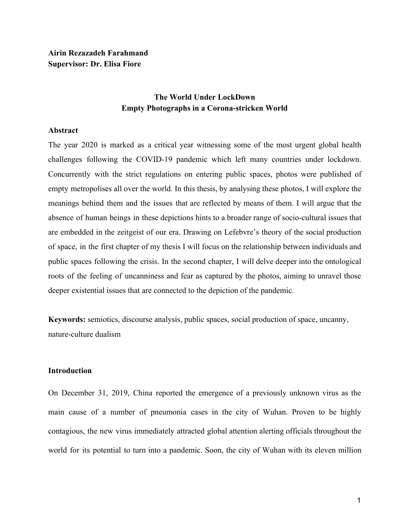# **The World Under LockDown Empty Photographs in a Corona-stricken World**

#### **Abstract**

The year 2020 is marked as a critical year witnessing some of the most urgent global health challenges following the COVID-19 pandemic which left many countries under lockdown. Concurrently with the strict regulations on entering public spaces, photos were published of empty metropolises all over the world. In this thesis, by analysing these photos, I will explore the meanings behind them and the issues that are reflected by means of them. I will argue that the absence of human beings in these depictions hints to a broader range of socio-cultural issues that are embedded in the zeitgeist of our era. Drawing on Lefebvre's theory of the social production of space, in the first chapter of my thesis I will focus on the relationship between individuals and public spaces following the crisis. In the second chapter, I will delve deeper into the ontological roots of the feeling of uncanniness and fear as captured by the photos, aiming to unravel those deeper existential issues that are connected to the depiction of the pandemic.

**Keywords:** semiotics, discourse analysis, public spaces, social production of space, uncanny, nature-culture dualism

#### **Introduction**

On December 31, 2019, China reported the emergence of a previously unknown virus as the main cause of a number of pneumonia cases in the city of Wuhan. Proven to be highly contagious, the new virus immediately attracted global attention alerting officials throughout the world for its potential to turn into a pandemic. Soon, the city of Wuhan with its eleven million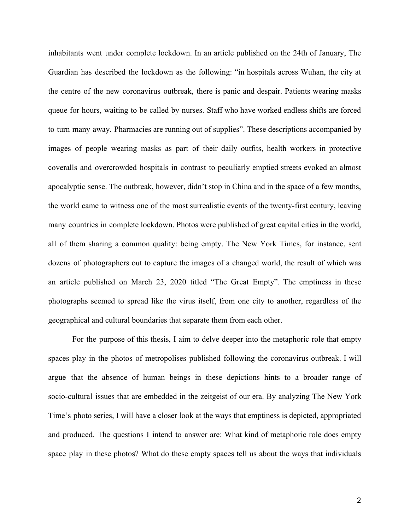inhabitants went under complete lockdown. In an article published on the 24th of January, The Guardian has described the lockdown as the following: "in hospitals across Wuhan, the city at the centre of the new coronavirus outbreak, there is panic and despair. Patients wearing masks queue for hours, waiting to be called by nurses. Staff who have worked endless shifts are forced to turn many away. Pharmacies are running out of supplies". These descriptions accompanied by images of people wearing masks as part of their daily outfits, health workers in protective coveralls and overcrowded hospitals in contrast to peculiarly emptied streets evoked an almost apocalyptic sense. The outbreak, however, didn't stop in China and in the space of a few months, the world came to witness one of the most surrealistic events of the twenty-first century, leaving many countries in complete lockdown. Photos were published of great capital cities in the world, all of them sharing a common quality: being empty. The New York Times, for instance, sent dozens of photographers out to capture the images of a changed world, the result of which was an article published on March 23, 2020 titled "The Great Empty". The emptiness in these photographs seemed to spread like the virus itself, from one city to another, regardless of the geographical and cultural boundaries that separate them from each other.

For the purpose of this thesis, I aim to delve deeper into the metaphoric role that empty spaces play in the photos of metropolises published following the coronavirus outbreak. I will argue that the absence of human beings in these depictions hints to a broader range of socio-cultural issues that are embedded in the zeitgeist of our era. By analyzing The New York Time's photo series, I will have a closer look at the ways that emptiness is depicted, appropriated and produced. The questions I intend to answer are: What kind of metaphoric role does empty space play in these photos? What do these empty spaces tell us about the ways that individuals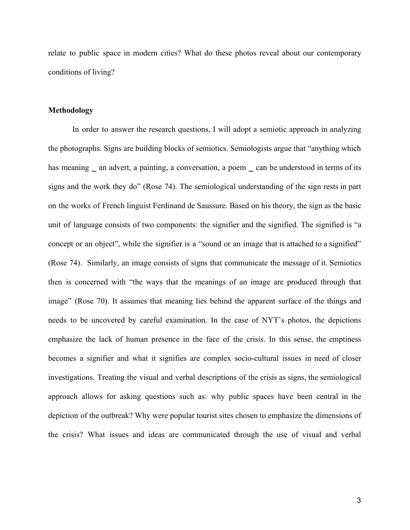relate to public space in modern cities? What do these photos reveal about our contemporary conditions of living?

# **Methodology**

In order to answer the research questions, I will adopt a semiotic approach in analyzing the photographs. Signs are building blocks of semiotics. Semiologists argue that "anything which has meaning  $\_$  an advert, a painting, a conversation, a poem  $\_$  can be understood in terms of its signs and the work they do" (Rose 74). The semiological understanding of the sign rests in part on the works of French linguist Ferdinand de Saussure. Based on his theory, the sign as the basic unit of language consists of two components: the signifier and the signified. The signified is "a concept or an object", while the signifier is a "sound or an image that is attached to a signified" (Rose 74). Similarly, an image consists of signs that communicate the message of it. Semiotics then is concerned with "the ways that the meanings of an image are produced through that image" (Rose 70). It assumes that meaning lies behind the apparent surface of the things and needs to be uncovered by careful examination. In the case of NYT's photos, the depictions emphasize the lack of human presence in the face of the crisis. In this sense, the emptiness becomes a signifier and what it signifies are complex socio-cultural issues in need of closer investigations. Treating the visual and verbal descriptions of the crisis as signs, the semiological approach allows for asking questions such as: why public spaces have been central in the depiction of the outbreak? Why were popular tourist sites chosen to emphasize the dimensions of the crisis? What issues and ideas are communicated through the use of visual and verbal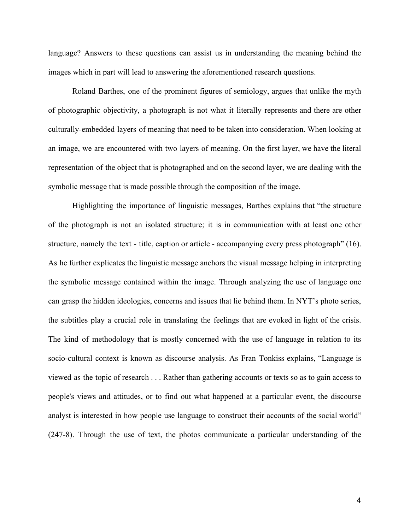language? Answers to these questions can assist us in understanding the meaning behind the images which in part will lead to answering the aforementioned research questions.

Roland Barthes, one of the prominent figures of semiology, argues that unlike the myth of photographic objectivity, a photograph is not what it literally represents and there are other culturally-embedded layers of meaning that need to be taken into consideration. When looking at an image, we are encountered with two layers of meaning. On the first layer, we have the literal representation of the object that is photographed and on the second layer, we are dealing with the symbolic message that is made possible through the composition of the image.

Highlighting the importance of linguistic messages, Barthes explains that "the structure of the photograph is not an isolated structure; it is in communication with at least one other structure, namely the text - title, caption or article - accompanying every press photograph" (16). As he further explicates the linguistic message anchors the visual message helping in interpreting the symbolic message contained within the image. Through analyzing the use of language one can grasp the hidden ideologies, concerns and issues that lie behind them. In NYT's photo series, the subtitles play a crucial role in translating the feelings that are evoked in light of the crisis. The kind of methodology that is mostly concerned with the use of language in relation to its socio-cultural context is known as discourse analysis. As Fran Tonkiss explains, "Language is viewed as the topic of research . . . Rather than gathering accounts or texts so as to gain access to people's views and attitudes, or to find out what happened at a particular event, the discourse analyst is interested in how people use language to construct their accounts of the social world" (247-8). Through the use of text, the photos communicate a particular understanding of the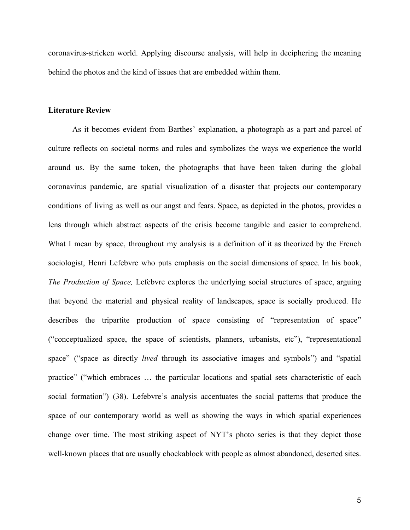coronavirus-stricken world. Applying discourse analysis, will help in deciphering the meaning behind the photos and the kind of issues that are embedded within them.

## **Literature Review**

As it becomes evident from Barthes' explanation, a photograph as a part and parcel of culture reflects on societal norms and rules and symbolizes the ways we experience the world around us. By the same token, the photographs that have been taken during the global coronavirus pandemic, are spatial visualization of a disaster that projects our contemporary conditions of living as well as our angst and fears. Space, as depicted in the photos, provides a lens through which abstract aspects of the crisis become tangible and easier to comprehend. What I mean by space, throughout my analysis is a definition of it as theorized by the French sociologist, Henri Lefebvre who puts emphasis on the social dimensions of space. In his book, *The Production of Space,* Lefebvre explores the underlying social structures of space, arguing that beyond the material and physical reality of landscapes, space is socially produced. He describes the tripartite production of space consisting of "representation of space" ("conceptualized space, the space of scientists, planners, urbanists, etc"), "representational space" ("space as directly *lived* through its associative images and symbols") and "spatial practice" ("which embraces … the particular locations and spatial sets characteristic of each social formation") (38). Lefebvre's analysis accentuates the social patterns that produce the space of our contemporary world as well as showing the ways in which spatial experiences change over time. The most striking aspect of NYT's photo series is that they depict those well-known places that are usually chockablock with people as almost abandoned, deserted sites.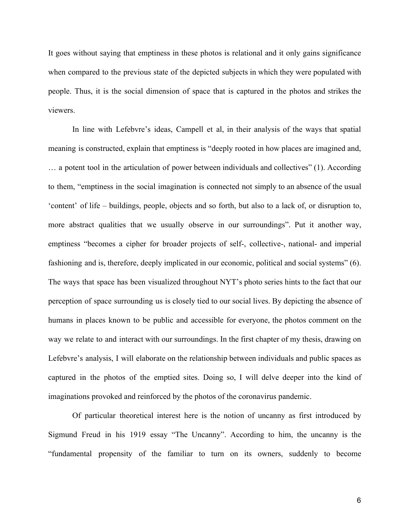It goes without saying that emptiness in these photos is relational and it only gains significance when compared to the previous state of the depicted subjects in which they were populated with people. Thus, it is the social dimension of space that is captured in the photos and strikes the viewers.

In line with Lefebvre's ideas, Campell et al, in their analysis of the ways that spatial meaning is constructed, explain that emptiness is "deeply rooted in how places are imagined and, … a potent tool in the articulation of power between individuals and collectives" (1). According to them, "emptiness in the social imagination is connected not simply to an absence of the usual 'content' of life – buildings, people, objects and so forth, but also to a lack of, or disruption to, more abstract qualities that we usually observe in our surroundings". Put it another way, emptiness "becomes a cipher for broader projects of self-, collective-, national- and imperial fashioning and is, therefore, deeply implicated in our economic, political and social systems" (6). The ways that space has been visualized throughout NYT's photo series hints to the fact that our perception of space surrounding us is closely tied to our social lives. By depicting the absence of humans in places known to be public and accessible for everyone, the photos comment on the way we relate to and interact with our surroundings. In the first chapter of my thesis, drawing on Lefebvre's analysis, I will elaborate on the relationship between individuals and public spaces as captured in the photos of the emptied sites. Doing so, I will delve deeper into the kind of imaginations provoked and reinforced by the photos of the coronavirus pandemic.

Of particular theoretical interest here is the notion of uncanny as first introduced by Sigmund Freud in his 1919 essay "The Uncanny". According to him, the uncanny is the "fundamental propensity of the familiar to turn on its owners, suddenly to become

6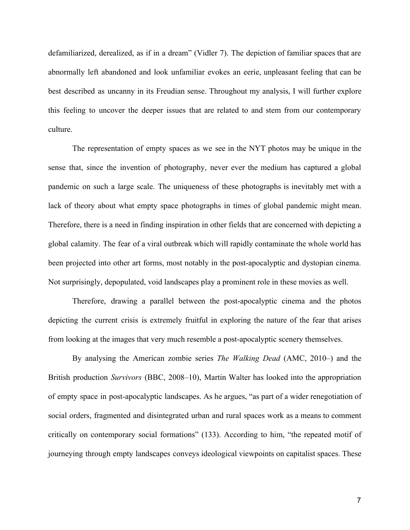defamiliarized, derealized, as if in a dream" (Vidler 7). The depiction of familiar spaces that are abnormally left abandoned and look unfamiliar evokes an eerie, unpleasant feeling that can be best described as uncanny in its Freudian sense. Throughout my analysis, I will further explore this feeling to uncover the deeper issues that are related to and stem from our contemporary culture.

The representation of empty spaces as we see in the NYT photos may be unique in the sense that, since the invention of photography, never ever the medium has captured a global pandemic on such a large scale. The uniqueness of these photographs is inevitably met with a lack of theory about what empty space photographs in times of global pandemic might mean. Therefore, there is a need in finding inspiration in other fields that are concerned with depicting a global calamity. The fear of a viral outbreak which will rapidly contaminate the whole world has been projected into other art forms, most notably in the post-apocalyptic and dystopian cinema. Not surprisingly, depopulated, void landscapes play a prominent role in these movies as well.

Therefore, drawing a parallel between the post-apocalyptic cinema and the photos depicting the current crisis is extremely fruitful in exploring the nature of the fear that arises from looking at the images that very much resemble a post-apocalyptic scenery themselves.

By analysing the American zombie series *The Walking Dead* (AMC, 2010–) and the British production *Survivors* (BBC, 2008–10), Martin Walter has looked into the appropriation of empty space in post-apocalyptic landscapes. As he argues, "as part of a wider renegotiation of social orders, fragmented and disintegrated urban and rural spaces work as a means to comment critically on contemporary social formations" (133). According to him, "the repeated motif of journeying through empty landscapes conveys ideological viewpoints on capitalist spaces. These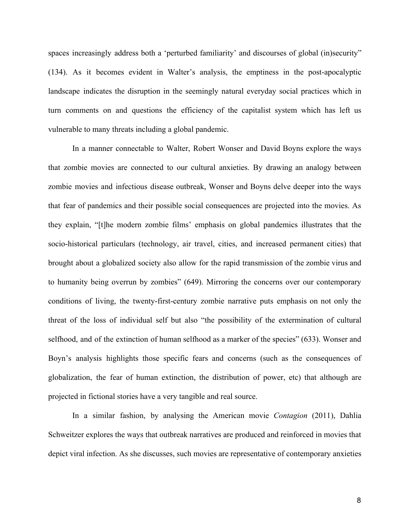spaces increasingly address both a 'perturbed familiarity' and discourses of global (in)security" (134). As it becomes evident in Walter's analysis, the emptiness in the post-apocalyptic landscape indicates the disruption in the seemingly natural everyday social practices which in turn comments on and questions the efficiency of the capitalist system which has left us vulnerable to many threats including a global pandemic.

In a manner connectable to Walter, Robert Wonser and David Boyns explore the ways that zombie movies are connected to our cultural anxieties. By drawing an analogy between zombie movies and infectious disease outbreak, Wonser and Boyns delve deeper into the ways that fear of pandemics and their possible social consequences are projected into the movies. As they explain, "[t]he modern zombie films' emphasis on global pandemics illustrates that the socio-historical particulars (technology, air travel, cities, and increased permanent cities) that brought about a globalized society also allow for the rapid transmission of the zombie virus and to humanity being overrun by zombies" (649). Mirroring the concerns over our contemporary conditions of living, the twenty-first-century zombie narrative puts emphasis on not only the threat of the loss of individual self but also "the possibility of the extermination of cultural selfhood, and of the extinction of human selfhood as a marker of the species" (633). Wonser and Boyn's analysis highlights those specific fears and concerns (such as the consequences of globalization, the fear of human extinction, the distribution of power, etc) that although are projected in fictional stories have a very tangible and real source.

In a similar fashion, by analysing the American movie *Contagion* (2011), Dahlia Schweitzer explores the ways that outbreak narratives are produced and reinforced in movies that depict viral infection. As she discusses, such movies are representative of contemporary anxieties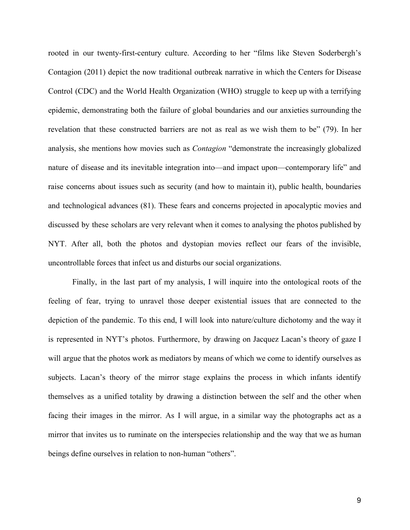rooted in our twenty-first-century culture. According to her "films like Steven Soderbergh's Contagion (2011) depict the now traditional outbreak narrative in which the Centers for Disease Control (CDC) and the World Health Organization (WHO) struggle to keep up with a terrifying epidemic, demonstrating both the failure of global boundaries and our anxieties surrounding the revelation that these constructed barriers are not as real as we wish them to be" (79). In her analysis, she mentions how movies such as *Contagion* "demonstrate the increasingly globalized nature of disease and its inevitable integration into—and impact upon—contemporary life" and raise concerns about issues such as security (and how to maintain it), public health, boundaries and technological advances (81). These fears and concerns projected in apocalyptic movies and discussed by these scholars are very relevant when it comes to analysing the photos published by NYT. After all, both the photos and dystopian movies reflect our fears of the invisible, uncontrollable forces that infect us and disturbs our social organizations.

Finally, in the last part of my analysis, I will inquire into the ontological roots of the feeling of fear, trying to unravel those deeper existential issues that are connected to the depiction of the pandemic. To this end, I will look into nature/culture dichotomy and the way it is represented in NYT's photos. Furthermore, by drawing on Jacquez Lacan's theory of gaze I will argue that the photos work as mediators by means of which we come to identify ourselves as subjects. Lacan's theory of the mirror stage explains the process in which infants identify themselves as a unified totality by drawing a distinction between the self and the other when facing their images in the mirror. As I will argue, in a similar way the photographs act as a mirror that invites us to ruminate on the interspecies relationship and the way that we as human beings define ourselves in relation to non-human "others".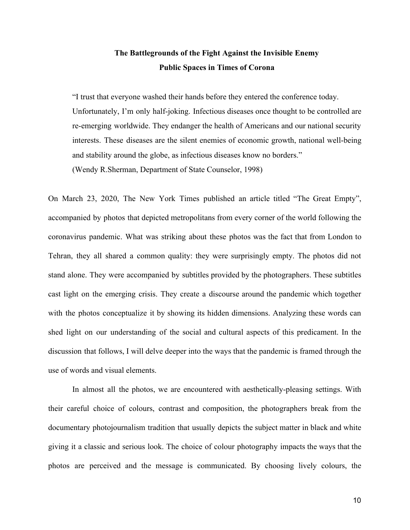# **The Battlegrounds of the Fight Against the Invisible Enemy Public Spaces in Times of Corona**

"I trust that everyone washed their hands before they entered the conference today. Unfortunately, I'm only half-joking. Infectious diseases once thought to be controlled are re-emerging worldwide. They endanger the health of Americans and our national security interests. These diseases are the silent enemies of economic growth, national well-being and stability around the globe, as infectious diseases know no borders." (Wendy R.Sherman, Department of State Counselor, 1998)

On March 23, 2020, The New York Times published an article titled "The Great Empty", accompanied by photos that depicted metropolitans from every corner of the world following the coronavirus pandemic. What was striking about these photos was the fact that from London to Tehran, they all shared a common quality: they were surprisingly empty. The photos did not stand alone. They were accompanied by subtitles provided by the photographers. These subtitles cast light on the emerging crisis. They create a discourse around the pandemic which together with the photos conceptualize it by showing its hidden dimensions. Analyzing these words can shed light on our understanding of the social and cultural aspects of this predicament. In the discussion that follows, I will delve deeper into the ways that the pandemic is framed through the use of words and visual elements.

In almost all the photos, we are encountered with aesthetically-pleasing settings. With their careful choice of colours, contrast and composition, the photographers break from the documentary photojournalism tradition that usually depicts the subject matter in black and white giving it a classic and serious look. The choice of colour photography impacts the ways that the photos are perceived and the message is communicated. By choosing lively colours, the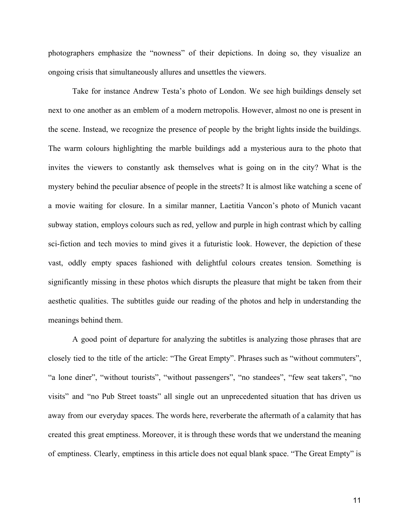photographers emphasize the "nowness" of their depictions. In doing so, they visualize an ongoing crisis that simultaneously allures and unsettles the viewers.

Take for instance Andrew Testa's photo of London. We see high buildings densely set next to one another as an emblem of a modern metropolis. However, almost no one is present in the scene. Instead, we recognize the presence of people by the bright lights inside the buildings. The warm colours highlighting the marble buildings add a mysterious aura to the photo that invites the viewers to constantly ask themselves what is going on in the city? What is the mystery behind the peculiar absence of people in the streets? It is almost like watching a scene of a movie waiting for closure. In a similar manner, Laetitia Vancon's photo of Munich vacant subway station, employs colours such as red, yellow and purple in high contrast which by calling sci-fiction and tech movies to mind gives it a futuristic look. However, the depiction of these vast, oddly empty spaces fashioned with delightful colours creates tension. Something is significantly missing in these photos which disrupts the pleasure that might be taken from their aesthetic qualities. The subtitles guide our reading of the photos and help in understanding the meanings behind them.

A good point of departure for analyzing the subtitles is analyzing those phrases that are closely tied to the title of the article: "The Great Empty". Phrases such as "without commuters", "a lone diner", "without tourists", "without passengers", "no standees", "few seat takers", "no visits" and "no Pub Street toasts" all single out an unprecedented situation that has driven us away from our everyday spaces. The words here, reverberate the aftermath of a calamity that has created this great emptiness. Moreover, it is through these words that we understand the meaning of emptiness. Clearly, emptiness in this article does not equal blank space. "The Great Empty" is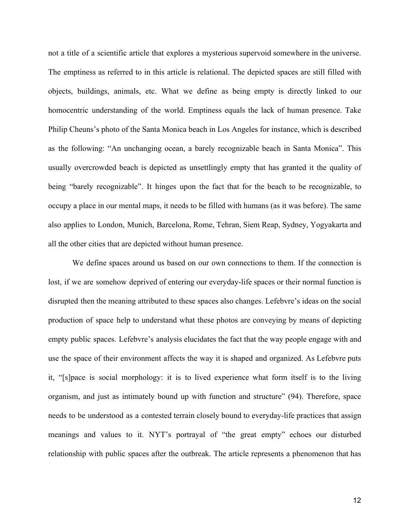not a title of a scientific article that explores a mysterious supervoid somewhere in the universe. The emptiness as referred to in this article is relational. The depicted spaces are still filled with objects, buildings, animals, etc. What we define as being empty is directly linked to our homocentric understanding of the world. Emptiness equals the lack of human presence. Take Philip Cheuns's photo of the Santa Monica beach in Los Angeles for instance, which is described as the following: "An unchanging ocean, a barely recognizable beach in Santa Monica". This usually overcrowded beach is depicted as unsettlingly empty that has granted it the quality of being "barely recognizable". It hinges upon the fact that for the beach to be recognizable, to occupy a place in our mental maps, it needs to be filled with humans (as it was before). The same also applies to London, Munich, Barcelona, Rome, Tehran, Siem Reap, Sydney, Yogyakarta and all the other cities that are depicted without human presence.

We define spaces around us based on our own connections to them. If the connection is lost, if we are somehow deprived of entering our everyday-life spaces or their normal function is disrupted then the meaning attributed to these spaces also changes. Lefebvre's ideas on the social production of space help to understand what these photos are conveying by means of depicting empty public spaces. Lefebvre's analysis elucidates the fact that the way people engage with and use the space of their environment affects the way it is shaped and organized. As Lefebvre puts it, "[s]pace is social morphology: it is to lived experience what form itself is to the living organism, and just as intimately bound up with function and structure" (94). Therefore, space needs to be understood as a contested terrain closely bound to everyday-life practices that assign meanings and values to it. NYT's portrayal of "the great empty" echoes our disturbed relationship with public spaces after the outbreak. The article represents a phenomenon that has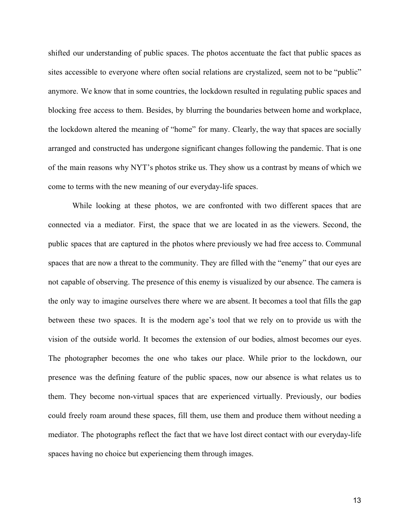shifted our understanding of public spaces. The photos accentuate the fact that public spaces as sites accessible to everyone where often social relations are crystalized, seem not to be "public" anymore. We know that in some countries, the lockdown resulted in regulating public spaces and blocking free access to them. Besides, by blurring the boundaries between home and workplace, the lockdown altered the meaning of "home" for many. Clearly, the way that spaces are socially arranged and constructed has undergone significant changes following the pandemic. That is one of the main reasons why NYT's photos strike us. They show us a contrast by means of which we come to terms with the new meaning of our everyday-life spaces.

While looking at these photos, we are confronted with two different spaces that are connected via a mediator. First, the space that we are located in as the viewers. Second, the public spaces that are captured in the photos where previously we had free access to. Communal spaces that are now a threat to the community. They are filled with the "enemy" that our eyes are not capable of observing. The presence of this enemy is visualized by our absence. The camera is the only way to imagine ourselves there where we are absent. It becomes a tool that fills the gap between these two spaces. It is the modern age's tool that we rely on to provide us with the vision of the outside world. It becomes the extension of our bodies, almost becomes our eyes. The photographer becomes the one who takes our place. While prior to the lockdown, our presence was the defining feature of the public spaces, now our absence is what relates us to them. They become non-virtual spaces that are experienced virtually. Previously, our bodies could freely roam around these spaces, fill them, use them and produce them without needing a mediator. The photographs reflect the fact that we have lost direct contact with our everyday-life spaces having no choice but experiencing them through images.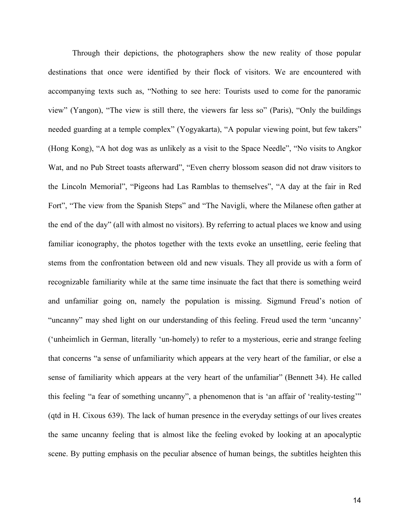Through their depictions, the photographers show the new reality of those popular destinations that once were identified by their flock of visitors. We are encountered with accompanying texts such as, "Nothing to see here: Tourists used to come for the panoramic view" (Yangon), "The view is still there, the viewers far less so" (Paris), "Only the buildings needed guarding at a temple complex" (Yogyakarta), "A popular viewing point, but few takers" (Hong Kong), "A hot dog was as unlikely as a visit to the Space Needle", "No visits to Angkor Wat, and no Pub Street toasts afterward", "Even cherry blossom season did not draw visitors to the Lincoln Memorial", "Pigeons had Las Ramblas to themselves", "A day at the fair in Red Fort", "The view from the Spanish Steps" and "The Navigli, where the Milanese often gather at the end of the day" (all with almost no visitors). By referring to actual places we know and using familiar iconography, the photos together with the texts evoke an unsettling, eerie feeling that stems from the confrontation between old and new visuals. They all provide us with a form of recognizable familiarity while at the same time insinuate the fact that there is something weird and unfamiliar going on, namely the population is missing. Sigmund Freud's notion of "uncanny" may shed light on our understanding of this feeling. Freud used the term 'uncanny' ('unheimlich in German, literally 'un-homely) to refer to a mysterious, eerie and strange feeling that concerns "a sense of unfamiliarity which appears at the very heart of the familiar, or else a sense of familiarity which appears at the very heart of the unfamiliar" (Bennett 34). He called this feeling "a fear of something uncanny", a phenomenon that is 'an affair of 'reality-testing'" (qtd in H. Cixous 639). The lack of human presence in the everyday settings of our lives creates the same uncanny feeling that is almost like the feeling evoked by looking at an apocalyptic scene. By putting emphasis on the peculiar absence of human beings, the subtitles heighten this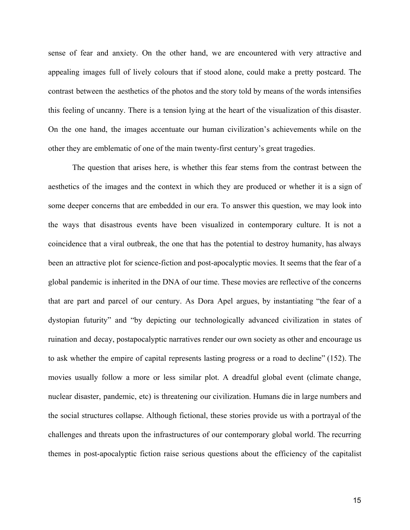sense of fear and anxiety. On the other hand, we are encountered with very attractive and appealing images full of lively colours that if stood alone, could make a pretty postcard. The contrast between the aesthetics of the photos and the story told by means of the words intensifies this feeling of uncanny. There is a tension lying at the heart of the visualization of this disaster. On the one hand, the images accentuate our human civilization's achievements while on the other they are emblematic of one of the main twenty-first century's great tragedies.

The question that arises here, is whether this fear stems from the contrast between the aesthetics of the images and the context in which they are produced or whether it is a sign of some deeper concerns that are embedded in our era. To answer this question, we may look into the ways that disastrous events have been visualized in contemporary culture. It is not a coincidence that a viral outbreak, the one that has the potential to destroy humanity, has always been an attractive plot for science-fiction and post-apocalyptic movies. It seems that the fear of a global pandemic is inherited in the DNA of our time. These movies are reflective of the concerns that are part and parcel of our century. As Dora Apel argues, by instantiating "the fear of a dystopian futurity" and "by depicting our technologically advanced civilization in states of ruination and decay, postapocalyptic narratives render our own society as other and encourage us to ask whether the empire of capital represents lasting progress or a road to decline" (152). The movies usually follow a more or less similar plot. A dreadful global event (climate change, nuclear disaster, pandemic, etc) is threatening our civilization. Humans die in large numbers and the social structures collapse. Although fictional, these stories provide us with a portrayal of the challenges and threats upon the infrastructures of our contemporary global world. The recurring themes in post-apocalyptic fiction raise serious questions about the efficiency of the capitalist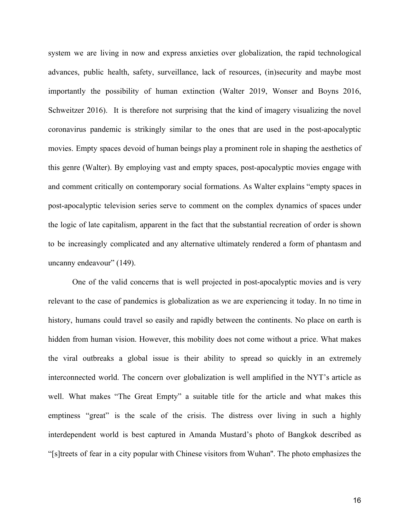system we are living in now and express anxieties over globalization, the rapid technological advances, public health, safety, surveillance, lack of resources, (in)security and maybe most importantly the possibility of human extinction (Walter 2019, Wonser and Boyns 2016, Schweitzer 2016). It is therefore not surprising that the kind of imagery visualizing the novel coronavirus pandemic is strikingly similar to the ones that are used in the post-apocalyptic movies. Empty spaces devoid of human beings play a prominent role in shaping the aesthetics of this genre (Walter). By employing vast and empty spaces, post-apocalyptic movies engage with and comment critically on contemporary social formations. As Walter explains "empty spaces in post-apocalyptic television series serve to comment on the complex dynamics of spaces under the logic of late capitalism, apparent in the fact that the substantial recreation of order is shown to be increasingly complicated and any alternative ultimately rendered a form of phantasm and uncanny endeavour" (149).

One of the valid concerns that is well projected in post-apocalyptic movies and is very relevant to the case of pandemics is globalization as we are experiencing it today. In no time in history, humans could travel so easily and rapidly between the continents. No place on earth is hidden from human vision. However, this mobility does not come without a price. What makes the viral outbreaks a global issue is their ability to spread so quickly in an extremely interconnected world. The concern over globalization is well amplified in the NYT's article as well. What makes "The Great Empty" a suitable title for the article and what makes this emptiness "great" is the scale of the crisis. The distress over living in such a highly interdependent world is best captured in Amanda Mustard's photo of Bangkok described as "[s]treets of fear in a city popular with Chinese visitors from Wuhan''. The photo emphasizes the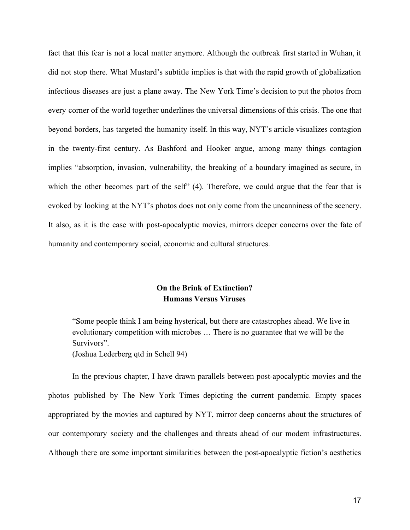fact that this fear is not a local matter anymore. Although the outbreak first started in Wuhan, it did not stop there. What Mustard's subtitle implies is that with the rapid growth of globalization infectious diseases are just a plane away. The New York Time's decision to put the photos from every corner of the world together underlines the universal dimensions of this crisis. The one that beyond borders, has targeted the humanity itself. In this way, NYT's article visualizes contagion in the twenty-first century. As Bashford and Hooker argue, among many things contagion implies "absorption, invasion, vulnerability, the breaking of a boundary imagined as secure, in which the other becomes part of the self" (4). Therefore, we could argue that the fear that is evoked by looking at the NYT's photos does not only come from the uncanniness of the scenery. It also, as it is the case with post-apocalyptic movies, mirrors deeper concerns over the fate of humanity and contemporary social, economic and cultural structures.

# **On the Brink of Extinction? Humans Versus Viruses**

"Some people think I am being hysterical, but there are catastrophes ahead. We live in evolutionary competition with microbes … There is no guarantee that we will be the Survivors". (Joshua Lederberg qtd in Schell 94)

In the previous chapter, I have drawn parallels between post-apocalyptic movies and the photos published by The New York Times depicting the current pandemic. Empty spaces appropriated by the movies and captured by NYT, mirror deep concerns about the structures of our contemporary society and the challenges and threats ahead of our modern infrastructures. Although there are some important similarities between the post-apocalyptic fiction's aesthetics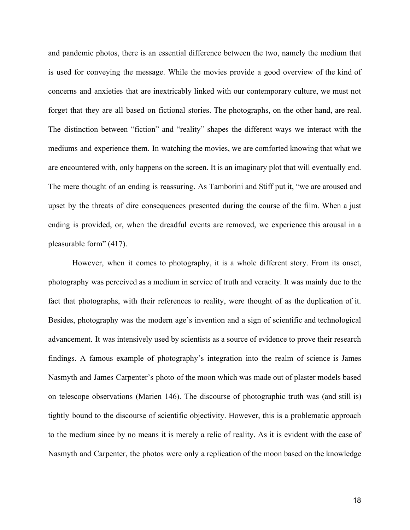and pandemic photos, there is an essential difference between the two, namely the medium that is used for conveying the message. While the movies provide a good overview of the kind of concerns and anxieties that are inextricably linked with our contemporary culture, we must not forget that they are all based on fictional stories. The photographs, on the other hand, are real. The distinction between "fiction" and "reality" shapes the different ways we interact with the mediums and experience them. In watching the movies, we are comforted knowing that what we are encountered with, only happens on the screen. It is an imaginary plot that will eventually end. The mere thought of an ending is reassuring. As Tamborini and Stiff put it, "we are aroused and upset by the threats of dire consequences presented during the course of the film. When a just ending is provided, or, when the dreadful events are removed, we experience this arousal in a pleasurable form" (417).

However, when it comes to photography, it is a whole different story. From its onset, photography was perceived as a medium in service of truth and veracity. It was mainly due to the fact that photographs, with their references to reality, were thought of as the duplication of it. Besides, photography was the modern age's invention and a sign of scientific and technological advancement. It was intensively used by scientists as a source of evidence to prove their research findings. A famous example of photography's integration into the realm of science is James Nasmyth and James Carpenter's photo of the moon which was made out of plaster models based on telescope observations (Marien 146). The discourse of photographic truth was (and still is) tightly bound to the discourse of scientific objectivity. However, this is a problematic approach to the medium since by no means it is merely a relic of reality. As it is evident with the case of Nasmyth and Carpenter, the photos were only a replication of the moon based on the knowledge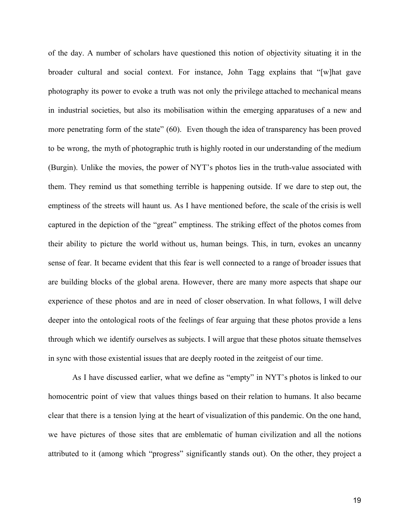of the day. A number of scholars have questioned this notion of objectivity situating it in the broader cultural and social context. For instance, John Tagg explains that "[w]hat gave photography its power to evoke a truth was not only the privilege attached to mechanical means in industrial societies, but also its mobilisation within the emerging apparatuses of a new and more penetrating form of the state" (60). Even though the idea of transparency has been proved to be wrong, the myth of photographic truth is highly rooted in our understanding of the medium (Burgin). Unlike the movies, the power of NYT's photos lies in the truth-value associated with them. They remind us that something terrible is happening outside. If we dare to step out, the emptiness of the streets will haunt us. As I have mentioned before, the scale of the crisis is well captured in the depiction of the "great" emptiness. The striking effect of the photos comes from their ability to picture the world without us, human beings. This, in turn, evokes an uncanny sense of fear. It became evident that this fear is well connected to a range of broader issues that are building blocks of the global arena. However, there are many more aspects that shape our experience of these photos and are in need of closer observation. In what follows, I will delve deeper into the ontological roots of the feelings of fear arguing that these photos provide a lens through which we identify ourselves as subjects. I will argue that these photos situate themselves in sync with those existential issues that are deeply rooted in the zeitgeist of our time.

As I have discussed earlier, what we define as "empty" in NYT's photos is linked to our homocentric point of view that values things based on their relation to humans. It also became clear that there is a tension lying at the heart of visualization of this pandemic. On the one hand, we have pictures of those sites that are emblematic of human civilization and all the notions attributed to it (among which "progress" significantly stands out). On the other, they project a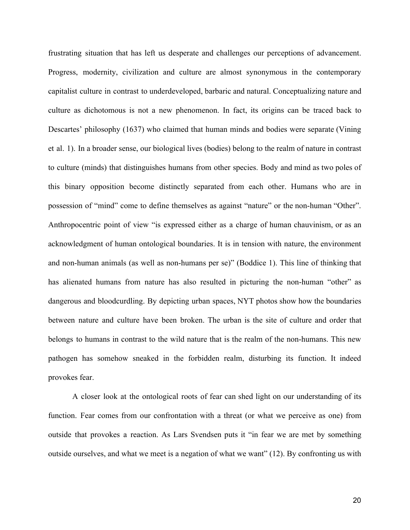frustrating situation that has left us desperate and challenges our perceptions of advancement. Progress, modernity, civilization and culture are almost synonymous in the contemporary capitalist culture in contrast to underdeveloped, barbaric and natural. Conceptualizing nature and culture as dichotomous is not a new phenomenon. In fact, its origins can be traced back to Descartes' philosophy (1637) who claimed that human minds and bodies were separate (Vining et al. 1). In a broader sense, our biological lives (bodies) belong to the realm of nature in contrast to culture (minds) that distinguishes humans from other species. Body and mind as two poles of this binary opposition become distinctly separated from each other. Humans who are in possession of "mind" come to define themselves as against "nature" or the non-human "Other". Anthropocentric point of view "is expressed either as a charge of human chauvinism, or as an acknowledgment of human ontological boundaries. It is in tension with nature, the environment and non-human animals (as well as non-humans per se)" (Boddice 1). This line of thinking that has alienated humans from nature has also resulted in picturing the non-human "other" as dangerous and bloodcurdling. By depicting urban spaces, NYT photos show how the boundaries between nature and culture have been broken. The urban is the site of culture and order that belongs to humans in contrast to the wild nature that is the realm of the non-humans. This new pathogen has somehow sneaked in the forbidden realm, disturbing its function. It indeed provokes fear.

A closer look at the ontological roots of fear can shed light on our understanding of its function. Fear comes from our confrontation with a threat (or what we perceive as one) from outside that provokes a reaction. As Lars Svendsen puts it "in fear we are met by something outside ourselves, and what we meet is a negation of what we want" (12). By confronting us with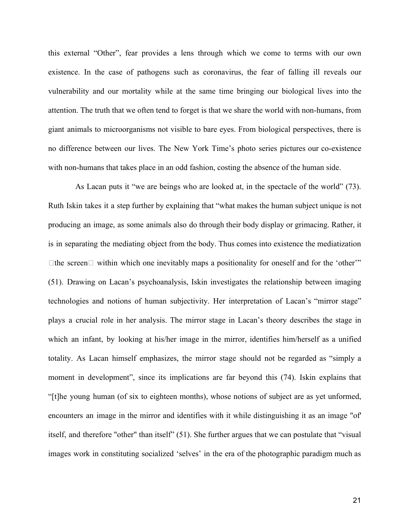this external "Other", fear provides a lens through which we come to terms with our own existence. In the case of pathogens such as coronavirus, the fear of falling ill reveals our vulnerability and our mortality while at the same time bringing our biological lives into the attention. The truth that we often tend to forget is that we share the world with non-humans, from giant animals to microorganisms not visible to bare eyes. From biological perspectives, there is no difference between our lives. The New York Time's photo series pictures our co-existence with non-humans that takes place in an odd fashion, costing the absence of the human side.

As Lacan puts it "we are beings who are looked at, in the spectacle of the world" (73). Ruth Iskin takes it a step further by explaining that "what makes the human subject unique is not producing an image, as some animals also do through their body display or grimacing. Rather, it is in separating the mediating object from the body. Thus comes into existence the mediatization  $\Box$  the screen  $\Box$  within which one inevitably maps a positionality for oneself and for the 'other'" (51). Drawing on Lacan's psychoanalysis, Iskin investigates the relationship between imaging technologies and notions of human subjectivity. Her interpretation of Lacan's "mirror stage" plays a crucial role in her analysis. The mirror stage in Lacan's theory describes the stage in which an infant, by looking at his/her image in the mirror, identifies him/herself as a unified totality. As Lacan himself emphasizes, the mirror stage should not be regarded as "simply a moment in development", since its implications are far beyond this (74). Iskin explains that "[t]he young human (of six to eighteen months), whose notions of subject are as yet unformed, encounters an image in the mirror and identifies with it while distinguishing it as an image "of' itself, and therefore "other" than itself" (51). She further argues that we can postulate that "visual images work in constituting socialized 'selves' in the era of the photographic paradigm much as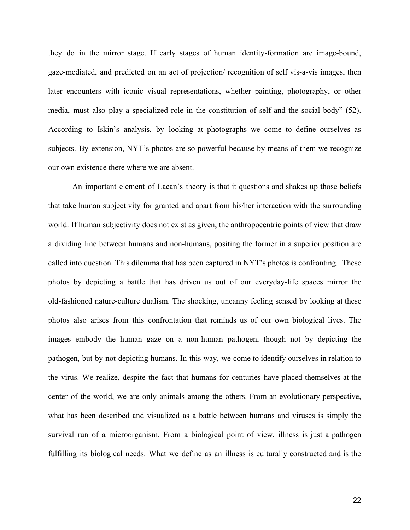they do in the mirror stage. If early stages of human identity-formation are image-bound, gaze-mediated, and predicted on an act of projection/ recognition of self vis-a-vis images, then later encounters with iconic visual representations, whether painting, photography, or other media, must also play a specialized role in the constitution of self and the social body" (52). According to Iskin's analysis, by looking at photographs we come to define ourselves as subjects. By extension, NYT's photos are so powerful because by means of them we recognize our own existence there where we are absent.

An important element of Lacan's theory is that it questions and shakes up those beliefs that take human subjectivity for granted and apart from his/her interaction with the surrounding world. If human subjectivity does not exist as given, the anthropocentric points of view that draw a dividing line between humans and non-humans, positing the former in a superior position are called into question. This dilemma that has been captured in NYT's photos is confronting. These photos by depicting a battle that has driven us out of our everyday-life spaces mirror the old-fashioned nature-culture dualism. The shocking, uncanny feeling sensed by looking at these photos also arises from this confrontation that reminds us of our own biological lives. The images embody the human gaze on a non-human pathogen, though not by depicting the pathogen, but by not depicting humans. In this way, we come to identify ourselves in relation to the virus. We realize, despite the fact that humans for centuries have placed themselves at the center of the world, we are only animals among the others. From an evolutionary perspective, what has been described and visualized as a battle between humans and viruses is simply the survival run of a microorganism. From a biological point of view, illness is just a pathogen fulfilling its biological needs. What we define as an illness is culturally constructed and is the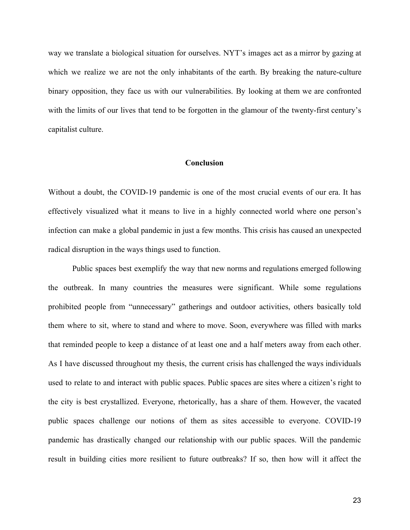way we translate a biological situation for ourselves. NYT's images act as a mirror by gazing at which we realize we are not the only inhabitants of the earth. By breaking the nature-culture binary opposition, they face us with our vulnerabilities. By looking at them we are confronted with the limits of our lives that tend to be forgotten in the glamour of the twenty-first century's capitalist culture.

## **Conclusion**

Without a doubt, the COVID-19 pandemic is one of the most crucial events of our era. It has effectively visualized what it means to live in a highly connected world where one person's infection can make a global pandemic in just a few months. This crisis has caused an unexpected radical disruption in the ways things used to function.

Public spaces best exemplify the way that new norms and regulations emerged following the outbreak. In many countries the measures were significant. While some regulations prohibited people from "unnecessary" gatherings and outdoor activities, others basically told them where to sit, where to stand and where to move. Soon, everywhere was filled with marks that reminded people to keep a distance of at least one and a half meters away from each other. As I have discussed throughout my thesis, the current crisis has challenged the ways individuals used to relate to and interact with public spaces. Public spaces are sites where a citizen's right to the city is best crystallized. Everyone, rhetorically, has a share of them. However, the vacated public spaces challenge our notions of them as sites accessible to everyone. COVID-19 pandemic has drastically changed our relationship with our public spaces. Will the pandemic result in building cities more resilient to future outbreaks? If so, then how will it affect the

23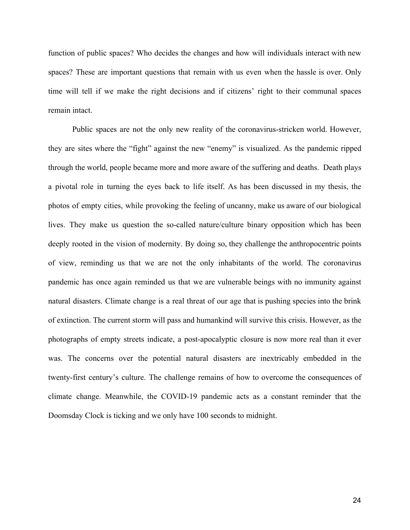function of public spaces? Who decides the changes and how will individuals interact with new spaces? These are important questions that remain with us even when the hassle is over. Only time will tell if we make the right decisions and if citizens' right to their communal spaces remain intact.

Public spaces are not the only new reality of the coronavirus-stricken world. However, they are sites where the "fight" against the new "enemy" is visualized. As the pandemic ripped through the world, people became more and more aware of the suffering and deaths. Death plays a pivotal role in turning the eyes back to life itself. As has been discussed in my thesis, the photos of empty cities, while provoking the feeling of uncanny, make us aware of our biological lives. They make us question the so-called nature/culture binary opposition which has been deeply rooted in the vision of modernity. By doing so, they challenge the anthropocentric points of view, reminding us that we are not the only inhabitants of the world. The coronavirus pandemic has once again reminded us that we are vulnerable beings with no immunity against natural disasters. Climate change is a real threat of our age that is pushing species into the brink of extinction. The current storm will pass and humankind will survive this crisis. However, as the photographs of empty streets indicate, a post-apocalyptic closure is now more real than it ever was. The concerns over the potential natural disasters are inextricably embedded in the twenty-first century's culture. The challenge remains of how to overcome the consequences of climate change. Meanwhile, the COVID-19 pandemic acts as a constant reminder that the Doomsday Clock is ticking and we only have 100 seconds to midnight.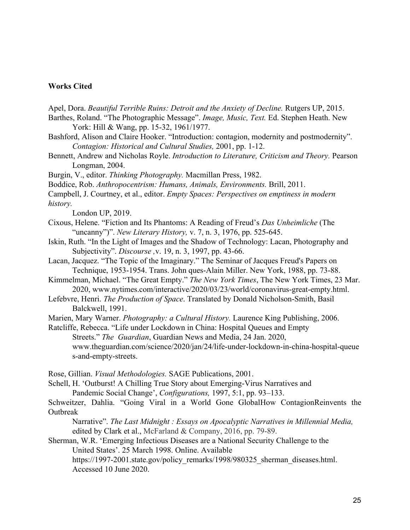## **Works Cited**

Apel, Dora. *Beautiful Terrible Ruins: Detroit and the Anxiety of Decline.* Rutgers UP, 2015.

Barthes, Roland. "The Photographic Message". *Image, Music, Text.* Ed. Stephen Heath. New York: Hill & Wang, pp. 15-32, 1961/1977.

Bashford, Alison and Claire Hooker. "Introduction: contagion, modernity and postmodernity". *Contagion: Historical and Cultural Studies,* 2001, pp. 1-12.

Bennett, Andrew and Nicholas Royle. *Introduction to Literature, Criticism and Theory.* Pearson Longman, 2004.

Burgin, V., editor. *Thinking Photography.* Macmillan Press, 1982.

Boddice, Rob. *Anthropocentrism: Humans, Animals, Environments.* Brill, 2011.

Campbell, J. Courtney, et al., editor. *Empty Spaces: Perspectives on emptiness in modern history.*

London UP, 2019.

- Cixous, Helene. "Fiction and Its Phantoms: A Reading of Freud's *Das Unheimliche* (The "uncanny")". *New Literary History,* v. 7, n. 3, 1976, pp. 525-645.
- Iskin, Ruth. "In the Light of Images and the Shadow of Technology: Lacan, Photography and Subjectivity". *Discourse ,*v. 19, n. 3, 1997, pp. 43-66.
- Lacan, Jacquez. "The Topic of the Imaginary." The Seminar of Jacques Freud's Papers on Technique, 1953-1954. Trans. John ques-Alain Miller. New York, 1988, pp. 73-88.
- Kimmelman, Michael. "The Great Empty." *The New York Times*, The New York Times, 23 Mar. 2020, www.nytimes.com/interactive/2020/03/23/world/coronavirus-great-empty.html.

Lefebvre, Henri. *The Production of Space*. Translated by Donald Nicholson-Smith, Basil Balckwell, 1991.

Marien, Mary Warner. *Photography: a Cultural History.* Laurence King Publishing, 2006.

Ratcliffe, Rebecca. "Life under Lockdown in China: Hospital Queues and Empty Streets." *The Guardian*, Guardian News and Media, 24 Jan. 2020, www.theguardian.com/science/2020/jan/24/life-under-lockdown-in-china-hospital-queue s-and-empty-streets.

Rose, Gillian. *Visual Methodologies.* SAGE Publications, 2001.

Schell, H. 'Outburst! A Chilling True Story about Emerging-Virus Narratives and

Pandemic Social Change', *Configurations,* 1997, 5:1, pp. 93–133.

Schweitzer, Dahlia. "Going Viral in a World Gone GlobalHow ContagionReinvents the **Outbreak** 

Narrative". *The Last Midnight : Essays on Apocalyptic Narratives in Millennial Media,* edited by Clark et al., McFarland & Company, 2016, pp. 79-89.

Sherman, W.R. 'Emerging Infectious Diseases are a National Security Challenge to the United States'. 25 March 1998. Online. Available

https://1997-2001.state.gov/policy\_remarks/1998/980325\_sherman\_diseases.html. Accessed 10 June 2020.